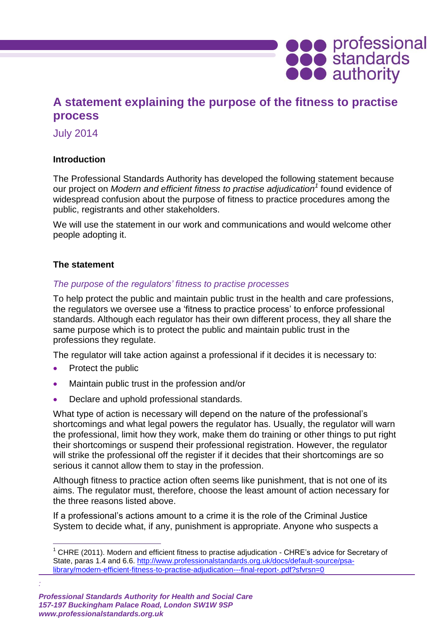

# **A statement explaining the purpose of the fitness to practise process**

July 2014

## **Introduction**

The Professional Standards Authority has developed the following statement because our project on *Modern and efficient fitness to practise adjudication<sup>1</sup>* found evidence of widespread confusion about the purpose of fitness to practice procedures among the public, registrants and other stakeholders.

We will use the statement in our work and communications and would welcome other people adopting it.

## **The statement**

## *The purpose of the regulators' fitness to practise processes*

To help protect the public and maintain public trust in the health and care professions, the regulators we oversee use a 'fitness to practice process' to enforce professional standards. Although each regulator has their own different process, they all share the same purpose which is to protect the public and maintain public trust in the professions they regulate.

The regulator will take action against a professional if it decides it is necessary to:

• Protect the public

*:*

 $\overline{a}$ 

- Maintain public trust in the profession and/or
- Declare and uphold professional standards.

What type of action is necessary will depend on the nature of the professional's shortcomings and what legal powers the regulator has. Usually, the regulator will warn the professional, limit how they work, make them do training or other things to put right their shortcomings or suspend their professional registration. However, the regulator will strike the professional off the register if it decides that their shortcomings are so serious it cannot allow them to stay in the profession.

Although fitness to practice action often seems like punishment, that is not one of its aims. The regulator must, therefore, choose the least amount of action necessary for the three reasons listed above.

If a professional's actions amount to a crime it is the role of the Criminal Justice System to decide what, if any, punishment is appropriate. Anyone who suspects a

 $1$  CHRE (2011). Modern and efficient fitness to practise adjudication - CHRE's advice for Secretary of State, paras 1.4 and 6.6. [http://www.professionalstandards.org.uk/docs/default-source/psa](http://www.professionalstandards.org.uk/docs/default-source/psa-library/modern-efficient-fitness-to-practise-adjudication---final-report-.pdf?sfvrsn=0)[library/modern-efficient-fitness-to-practise-adjudication---final-report-.pdf?sfvrsn=0](http://www.professionalstandards.org.uk/docs/default-source/psa-library/modern-efficient-fitness-to-practise-adjudication---final-report-.pdf?sfvrsn=0)

*Professional Standards Authority for Health and Social Care 157-197 Buckingham Palace Road, London SW1W 9SP www.professionalstandards.org.uk*